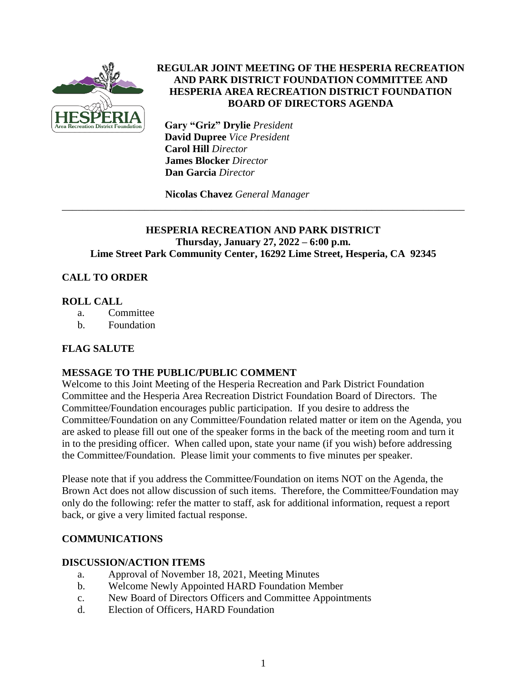

## **REGULAR JOINT MEETING OF THE HESPERIA RECREATION AND PARK DISTRICT FOUNDATION COMMITTEE AND HESPERIA AREA RECREATION DISTRICT FOUNDATION BOARD OF DIRECTORS AGENDA**

 **Gary "Griz" Drylie** *President*  **David Dupree** *Vice President* **Carol Hill** *Director*  **James Blocker** *Director*  **Dan Garcia** *Director*

**Nicolas Chavez** *General Manager*

## **HESPERIA RECREATION AND PARK DISTRICT Thursday, January 27, 2022 – 6:00 p.m. Lime Street Park Community Center, 16292 Lime Street, Hesperia, CA 92345**

\_\_\_\_\_\_\_\_\_\_\_\_\_\_\_\_\_\_\_\_\_\_\_\_\_\_\_\_\_\_\_\_\_\_\_\_\_\_\_\_\_\_\_\_\_\_\_\_\_\_\_\_\_\_\_\_\_\_\_\_\_\_\_\_\_\_\_\_\_\_\_\_\_\_\_\_\_\_

# **CALL TO ORDER**

## **ROLL CALL**

- a. Committee
- b. Foundation

# **FLAG SALUTE**

# **MESSAGE TO THE PUBLIC/PUBLIC COMMENT**

Welcome to this Joint Meeting of the Hesperia Recreation and Park District Foundation Committee and the Hesperia Area Recreation District Foundation Board of Directors. The Committee/Foundation encourages public participation. If you desire to address the Committee/Foundation on any Committee/Foundation related matter or item on the Agenda, you are asked to please fill out one of the speaker forms in the back of the meeting room and turn it in to the presiding officer. When called upon, state your name (if you wish) before addressing the Committee/Foundation. Please limit your comments to five minutes per speaker.

Please note that if you address the Committee/Foundation on items NOT on the Agenda, the Brown Act does not allow discussion of such items. Therefore, the Committee/Foundation may only do the following: refer the matter to staff, ask for additional information, request a report back, or give a very limited factual response.

# **COMMUNICATIONS**

### **DISCUSSION/ACTION ITEMS**

- a. Approval of November 18, 2021, Meeting Minutes
- b. Welcome Newly Appointed HARD Foundation Member
- c. New Board of Directors Officers and Committee Appointments
- d. Election of Officers, HARD Foundation